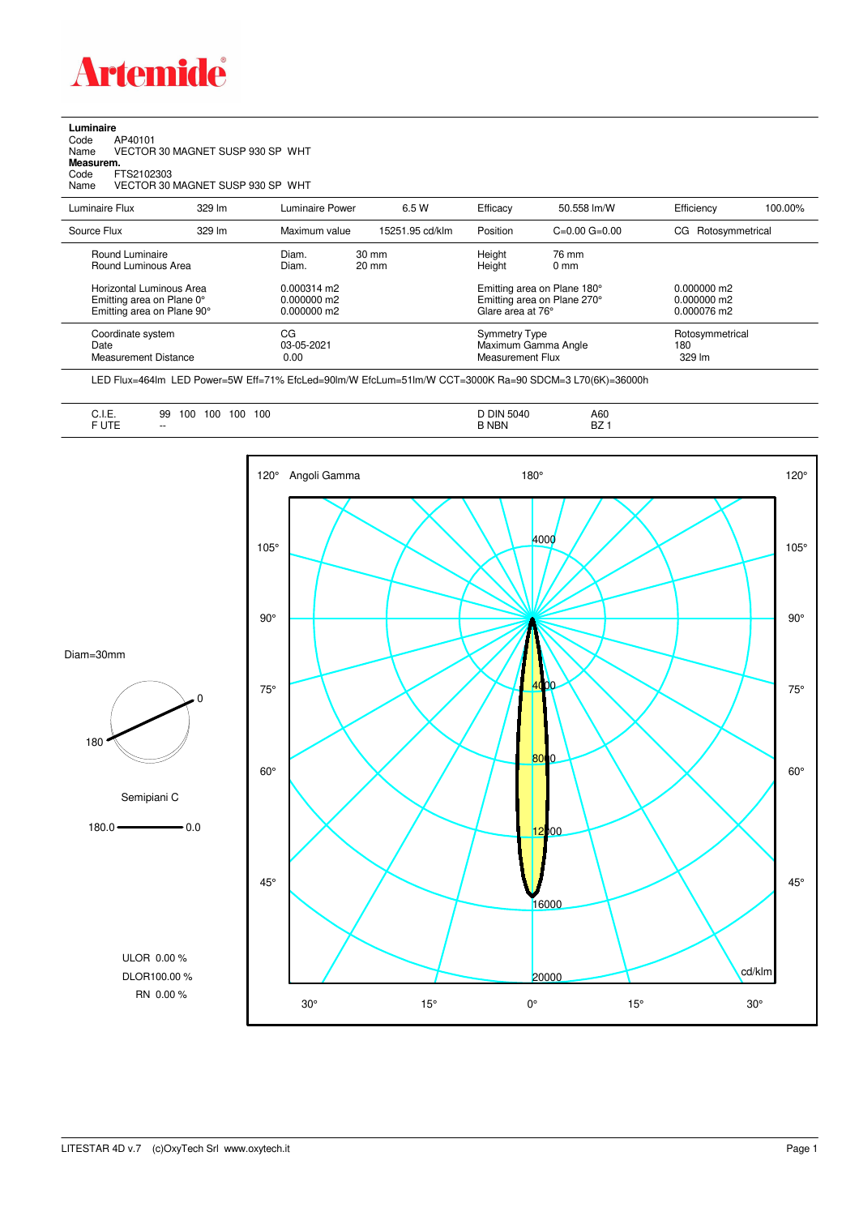

**Luminaire**<br>Code /<br>Name \ Code AP40101 Name VECTOR 30 MAGNET SUSP 930 SP WHT **Measurem.** Code FTS2102303 Name VECTOR 30 MAGNET SUSP 930 SP WHT

| Luminaire Flux                                                                      | 329 lm | Luminaire Power                                        | 6.5 W                              | Efficacy | 50.558 lm/W                                                                     | Efficiency         | 100.00%         |
|-------------------------------------------------------------------------------------|--------|--------------------------------------------------------|------------------------------------|----------|---------------------------------------------------------------------------------|--------------------|-----------------|
| Source Flux                                                                         | 329 lm | Maximum value                                          | 15251.95 cd/klm                    | Position | $C=0.00$ $G=0.00$                                                               | CG Rotosymmetrical |                 |
| Round Luminaire<br>Round Luminous Area                                              |        | Diam.<br>Diam.                                         | $30 \text{ mm}$<br>$20 \text{ mm}$ |          | 76 mm<br>$0 \text{ mm}$                                                         |                    |                 |
| Horizontal Luminous Area<br>Emitting area on Plane 0°<br>Emitting area on Plane 90° |        | $0.000314 \text{ m}$<br>$0.000000$ m2<br>$0.000000$ m2 |                                    |          | Emitting area on Plane 180°<br>Emitting area on Plane 270°<br>Glare area at 76° |                    |                 |
| Coordinate system<br>Date<br>Measurement Distance                                   |        | CG<br>03-05-2021<br>0.00                               |                                    |          | Symmetry Type<br>Maximum Gamma Angle<br>Measurement Flux                        |                    | Rotosymmetrical |

LED Flux=464lm LED Power=5W Eff=71% EfcLed=90lm/W EfcLum=51lm/W CCT=3000K Ra=90 SDCM=3 L70(6K)=36000h